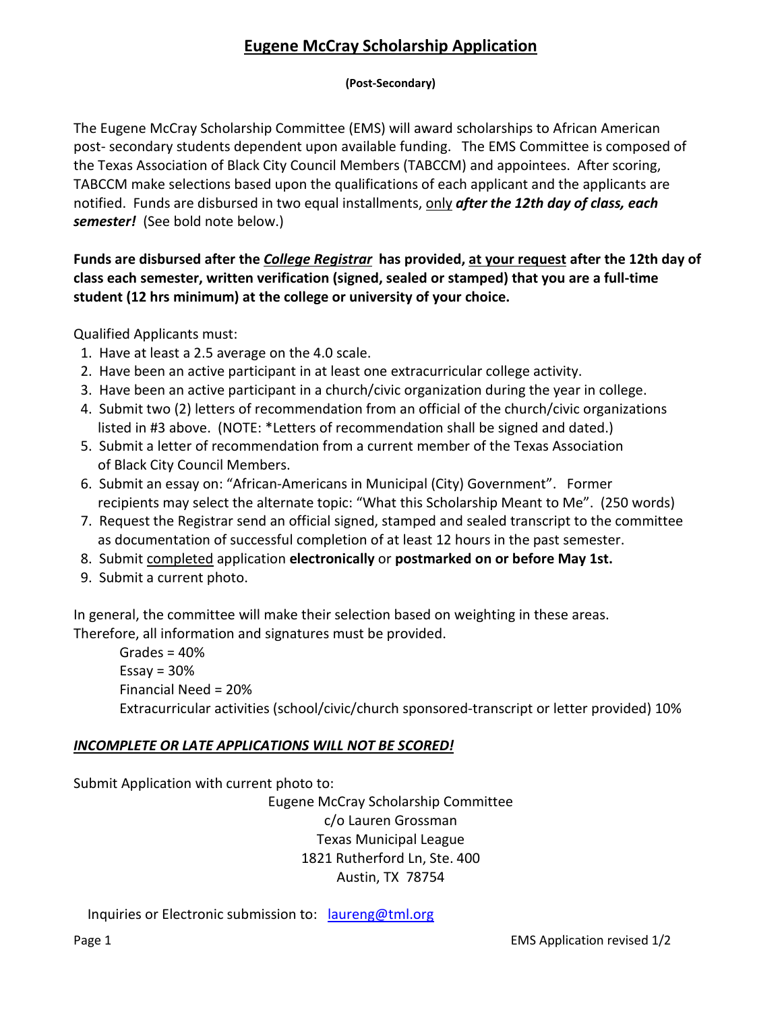## **Eugene McCray Scholarship Application**

**(Post-Secondary)**

The Eugene McCray Scholarship Committee (EMS) will award scholarships to African American post- secondary students dependent upon available funding. The EMS Committee is composed of the Texas Association of Black City Council Members (TABCCM) and appointees. After scoring, TABCCM make selections based upon the qualifications of each applicant and the applicants are notified. Funds are disbursed in two equal installments, only *after the 12th day of class, each semester!* (See bold note below.)

**Funds are disbursed after the** *College Registrar* **has provided, at your request after the 12th day of class each semester, written verification (signed, sealed or stamped) that you are a full-time student (12 hrs minimum) at the college or university of your choice.** 

Qualified Applicants must:

- 1. Have at least a 2.5 average on the 4.0 scale.
- 2. Have been an active participant in at least one extracurricular college activity.
- 3. Have been an active participant in a church/civic organization during the year in college.
- 4. Submit two (2) letters of recommendation from an official of the church/civic organizations listed in #3 above. (NOTE: \*Letters of recommendation shall be signed and dated.)
- 5. Submit a letter of recommendation from a current member of the Texas Association of Black City Council Members.
- 6. Submit an essay on: "African-Americans in Municipal (City) Government". Former recipients may select the alternate topic: "What this Scholarship Meant to Me". (250 words)
- 7. Request the Registrar send an official signed, stamped and sealed transcript to the committee as documentation of successful completion of at least 12 hours in the past semester.
- 8. Submit completed application **electronically** or **postmarked on or before May 1st.**
- 9. Submit a current photo.

In general, the committee will make their selection based on weighting in these areas. Therefore, all information and signatures must be provided.

Grades = 40% Essay =  $30\%$ Financial Need = 20% Extracurricular activities (school/civic/church sponsored-transcript or letter provided) 10%

## *INCOMPLETE OR LATE APPLICATIONS WILL NOT BE SCORED!*

Submit Application with current photo to:

Eugene McCray Scholarship Committee c/o Lauren Grossman Texas Municipal League 1821 Rutherford Ln, Ste. 400 Austin, TX 78754

Inquiries or Electronic submission to: [laureng@tml.org](mailto:laureng@tml.org)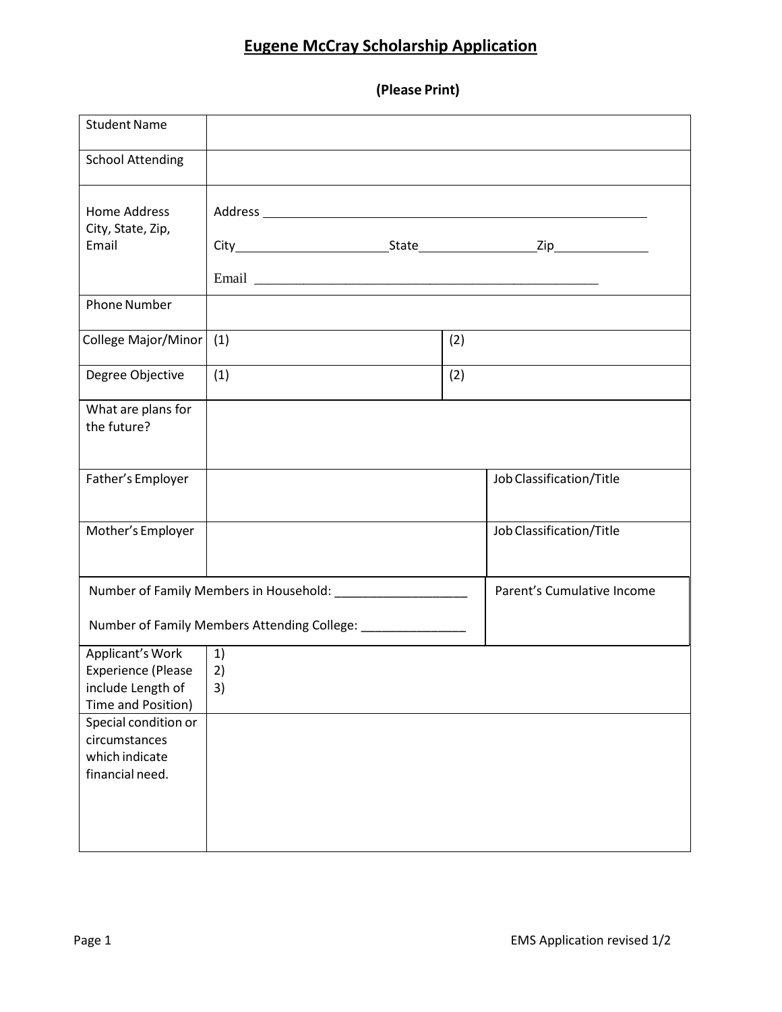## **Eugene McCray Scholarship Application**

**(Please Print)**

| <b>Student Name</b>                                                                                                                                                    |                |  |                            |                          |
|------------------------------------------------------------------------------------------------------------------------------------------------------------------------|----------------|--|----------------------------|--------------------------|
| <b>School Attending</b>                                                                                                                                                |                |  |                            |                          |
| <b>Home Address</b><br>City, State, Zip,<br>Email                                                                                                                      |                |  |                            |                          |
|                                                                                                                                                                        |                |  |                            |                          |
| <b>Phone Number</b>                                                                                                                                                    |                |  |                            |                          |
| College Major/Minor                                                                                                                                                    | (1)            |  | (2)                        |                          |
| Degree Objective                                                                                                                                                       | (1)            |  | (2)                        |                          |
| What are plans for<br>the future?                                                                                                                                      |                |  |                            |                          |
| Father's Employer                                                                                                                                                      |                |  |                            | Job Classification/Title |
| Mother's Employer                                                                                                                                                      |                |  |                            | Job Classification/Title |
| Number of Family Members in Household: ______________________<br>Number of Family Members Attending College: _______________                                           |                |  | Parent's Cumulative Income |                          |
| Applicant's Work<br><b>Experience (Please</b><br>include Length of<br>Time and Position)<br>Special condition or<br>circumstances<br>which indicate<br>financial need. | 1)<br>2)<br>3) |  |                            |                          |